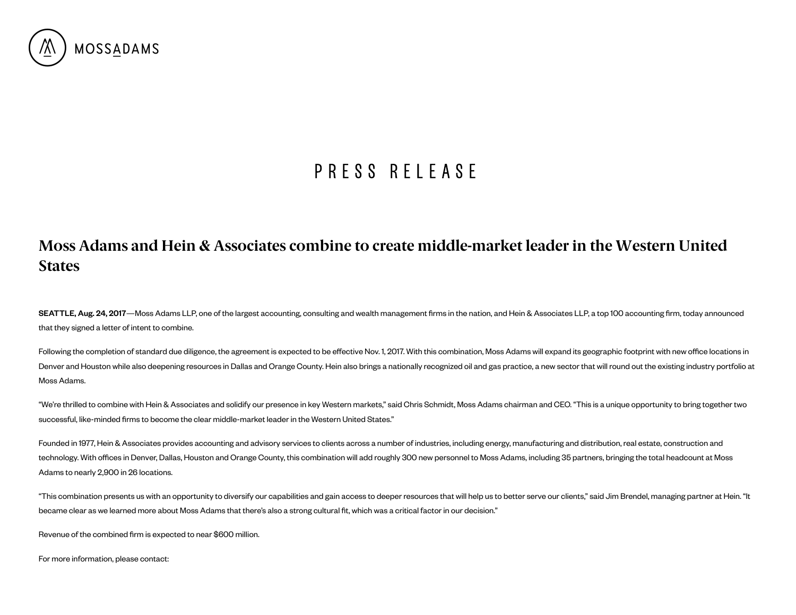

## P R E S S R E L E A S E

## Moss Adams and Hein & Associates combine to create middle-market leader in the Western United **States**

SEATTLE, Aug. 24, 2017—Moss Adams LLP, one of the largest accounting, consulting and wealth management firms in the nation, and Hein & Associates LLP, a top 100 accounting firm, today announced that they signed a letter of intent to combine.

Following the completion of standard due diligence, the agreement is expected to be effective Nov. 1, 2017. With this combination, Moss Adams will expand its geographic footprint with new office locations in Denver and Houston while also deepening resources in Dallas and Orange County. Hein also brings a nationally recognized oil and gas practice, a new sector that will round out the existing industry portfolio at Moss Adams.

"We're thrilled to combine with Hein & Associates and solidify our presence in key Western markets," said Chris Schmidt, Moss Adams chairman and CEO. "This is a unique opportunity to bring together two successful, like-minded firms to become the clear middle-market leader in the Western United States."

Founded in 1977, Hein & Associates provides accounting and advisory services to clients across a number of industries, including energy, manufacturing and distribution, real estate, construction and technology. With offices in Denver, Dallas, Houston and Orange County, this combination will add roughly 300 new personnel to Moss Adams, including 35 partners, bringing the total headcount at Moss Adams to nearly 2,900 in 26 locations.

"This combination presents us with an opportunity to diversify our capabilities and gain access to deeper resources that will help us to better serve our clients," said Jim Brendel, managing partner at Hein. "It became clear as we learned more about Moss Adams that there's also a strong cultural fit, which was a critical factor in our decision."

Revenue of the combined firm is expected to near \$600 million.

For more information, please contact: